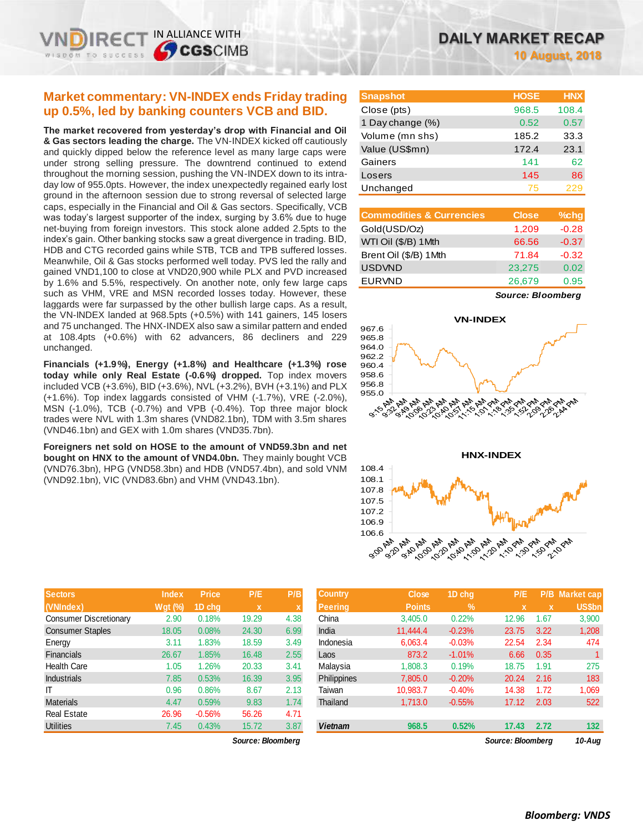# **Market commentary: VN-INDEX ends Friday trading up 0.5%, led by banking counters VCB and BID.**

IN ALLIANCE WITH

**SCGSCIMB** 

**The market recovered from yesterday's drop with Financial and Oil & Gas sectors leading the charge.** The VN-INDEX kicked off cautiously and quickly dipped below the reference level as many large caps were under strong selling pressure. The downtrend continued to extend throughout the morning session, pushing the VN-INDEX down to its intraday low of 955.0pts. However, the index unexpectedly regained early lost ground in the afternoon session due to strong reversal of selected large caps, especially in the Financial and Oil & Gas sectors. Specifically, VCB was today's largest supporter of the index, surging by 3.6% due to huge net-buying from foreign investors. This stock alone added 2.5pts to the index's gain. Other banking stocks saw a great divergence in trading. BID, HDB and CTG recorded gains while STB, TCB and TPB suffered losses. Meanwhile, Oil & Gas stocks performed well today. PVS led the rally and gained VND1,100 to close at VND20,900 while PLX and PVD increased by 1.6% and 5.5%, respectively. On another note, only few large caps such as VHM, VRE and MSN recorded losses today. However, these laggards were far surpassed by the other bullish large caps. As a result, the VN-INDEX landed at 968.5pts (+0.5%) with 141 gainers, 145 losers and 75 unchanged. The HNX-INDEX also saw a similar pattern and ended at 108.4pts (+0.6%) with 62 advancers, 86 decliners and 229 unchanged.

**Financials (+1.9%), Energy (+1.8%) and Healthcare (+1.3%) rose today while only Real Estate (-0.6%) dropped.** Top index movers included VCB (+3.6%), BID (+3.6%), NVL (+3.2%), BVH (+3.1%) and PLX (+1.6%). Top index laggards consisted of VHM (-1.7%), VRE (-2.0%), MSN (-1.0%), TCB (-0.7%) and VPB (-0.4%). Top three major block trades were NVL with 1.3m shares (VND82.1bn), TDM with 3.5m shares (VND46.1bn) and GEX with 1.0m shares (VND35.7bn).

**Foreigners net sold on HOSE to the amount of VND59.3bn and net bought on HNX to the amount of VND4.0bn.** They mainly bought VCB (VND76.3bn), HPG (VND58.3bn) and HDB (VND57.4bn), and sold VNM (VND92.1bn), VIC (VND83.6bn) and VHM (VND43.1bn).

| <b>Sectors</b>                | <b>Index</b>   | <b>Price</b> | P/E   | P/B  |
|-------------------------------|----------------|--------------|-------|------|
| (VNIndex)                     | <b>Wgt</b> (%) | 1D chq       | x     | X    |
| <b>Consumer Discretionary</b> | 2.90           | 0.18%        | 19.29 | 4.38 |
| <b>Consumer Staples</b>       | 18.05          | 0.08%        | 24.30 | 6.99 |
| Energy                        | 3.11           | 1.83%        | 18.59 | 3.49 |
| <b>Financials</b>             | 26.67          | 1.85%        | 16.48 | 2.55 |
| <b>Health Care</b>            | 1.05           | 1.26%        | 20.33 | 3.41 |
| <b>Industrials</b>            | 7.85           | 0.53%        | 16.39 | 3.95 |
| ΙT                            | 0.96           | 0.86%        | 8.67  | 2.13 |
| <b>Materials</b>              | 4.47           | 0.59%        | 9.83  | 1.74 |
| <b>Real Estate</b>            | 26.96          | $-0.56%$     | 56.26 | 4.71 |
| <b>Utilities</b>              | 7.45           | 0.43%        | 15.72 | 3.87 |

 $Source: Bloomberg$ 

| <b>Snapshot</b>  | <b>HOSE</b> | <b>HNX</b> |
|------------------|-------------|------------|
| Close (pts)      | 968.5       | 108.4      |
| 1 Day change (%) | 0.52        | 0.57       |
| Volume (mn shs)  | 185.2       | 33.3       |
| Value (US\$mn)   | 172.4       | 23.1       |
| Gainers          | 141         | 62         |
| Losers           | 145         | 86         |
| Unchanged        | 75          | 229        |

| <b>Commodities &amp; Currencies</b> | <b>Close</b> | $%$ chg |
|-------------------------------------|--------------|---------|
| Gold(USD/Oz)                        | 1,209        | $-0.28$ |
| WTI Oil (\$/B) 1Mth                 | 66.56        | $-0.37$ |
| Brent Oil (\$/B) 1Mth               | 71.84        | $-0.32$ |
| <b>USDVND</b>                       | 23,275       | 0.02    |
| <b>EURVND</b>                       | 26,679       | 0.95    |

*Source: Bloomberg*





| <b>Sectors</b>         | <b>Index</b>                           | <b>Price</b> | P/E         | P/B  | <b>Country</b>     | <b>Close</b>  | 1D chq        | P/E   |             | <b>P/B Market cap</b> |
|------------------------|----------------------------------------|--------------|-------------|------|--------------------|---------------|---------------|-------|-------------|-----------------------|
| (VNIndex)              | Wat $(%)$                              | 1D chq       | $\mathbf x$ |      | <b>Peering</b>     | <b>Points</b> | $\frac{9}{6}$ | X.    | $\mathbf x$ | US\$bn                |
| Consumer Discretionary | 2.90                                   | 0.18%        | 19.29       | 4.38 | China              | 3,405.0       | 0.22%         | 12.96 | 1.67        | 3,900                 |
| Consumer Staples       | 18.05                                  | 0.08%        | 24.30       | 6.99 | India              | 11,444.4      | $-0.23%$      | 23.75 | 3.22        | 1,208                 |
| Energy                 | 3.11                                   | 1.83%        | 18.59       | 3.49 | Indonesia          | 6.063.4       | $-0.03%$      | 22.54 | 2.34        | 474                   |
| Financials             | 26.67                                  | 1.85%        | 16.48       | 2.55 | Laos               | 873.2         | $-1.01%$      | 6.66  | 0.35        |                       |
| Health Care            | 1.05                                   | 1.26%        | 20.33       | 3.41 | Malaysia           | 1,808.3       | 0.19%         | 18.75 | 1.91        | 275                   |
| <b>Industrials</b>     | 7.85                                   | 0.53%        | 16.39       | 3.95 | <b>Philippines</b> | 7,805.0       | $-0.20%$      | 20.24 | 2.16        | 183                   |
| ΙT                     | 0.96                                   | 0.86%        | 8.67        | 2.13 | Taiwan             | 10.983.7      | $-0.40%$      | 14.38 | 1.72        | 1,069                 |
| Materials              | 4.47                                   | 0.59%        | 9.83        | 1.74 | Thailand           | 1.713.0       | $-0.55%$      | 17.12 | 2.03        | 522                   |
| Real Estate            | 26.96                                  | $-0.56%$     | 56.26       | 4.71 |                    |               |               |       |             |                       |
| <b>Utilities</b>       | 7.45                                   | 0.43%        | 15.72       | 3.87 | <b>Vietnam</b>     | 968.5         | 0.52%         | 17.43 | 2.72        | 132                   |
|                        | Source: Bloomberg<br>Source: Bloomberg |              |             |      |                    |               | 10-Aug        |       |             |                       |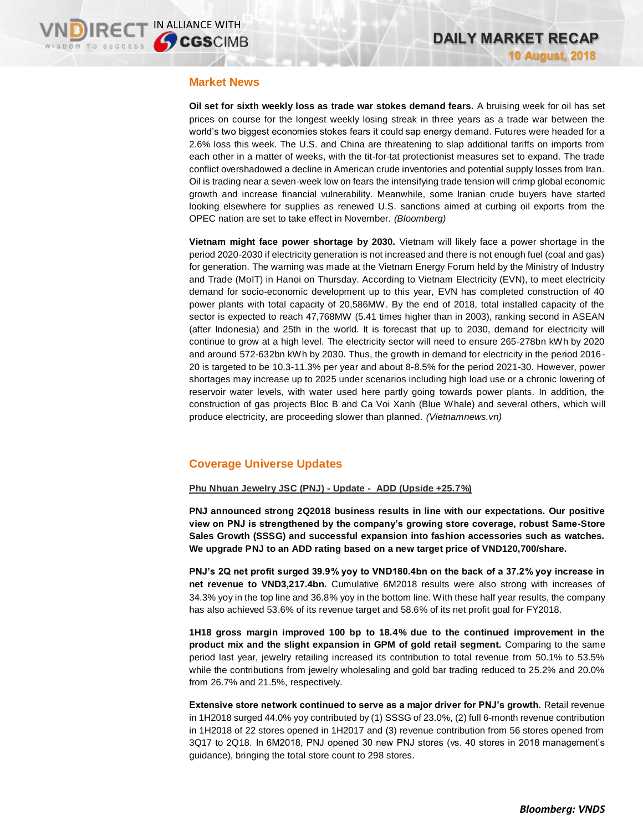## **Market News**

**Oil set for sixth weekly loss as trade war stokes demand fears.** A bruising week for oil has set prices on course for the longest weekly losing streak in three years as a trade war between the world's two biggest economies stokes fears it could sap energy demand. Futures were headed for a 2.6% loss this week. The U.S. and China are threatening to slap additional tariffs on imports from each other in a matter of weeks, with the tit-for-tat protectionist measures set to expand. The trade conflict overshadowed a decline in American crude inventories and potential supply losses from Iran. Oil is trading near a seven-week low on fears the intensifying trade tension will crimp global economic growth and increase financial vulnerability. Meanwhile, some Iranian crude buyers have started looking elsewhere for supplies as renewed U.S. sanctions aimed at curbing oil exports from the OPEC nation are set to take effect in November. *(Bloomberg)*

**Vietnam might face power shortage by 2030.** Vietnam will likely face a power shortage in the period 2020-2030 if electricity generation is not increased and there is not enough fuel (coal and gas) for generation. The warning was made at the Vietnam Energy Forum held by the Ministry of Industry and Trade (MoIT) in Hanoi on Thursday. According to Vietnam Electricity (EVN), to meet electricity demand for socio-economic development up to this year, EVN has completed construction of 40 power plants with total capacity of 20,586MW. By the end of 2018, total installed capacity of the sector is expected to reach 47,768MW (5.41 times higher than in 2003), ranking second in ASEAN (after Indonesia) and 25th in the world. It is forecast that up to 2030, demand for electricity will continue to grow at a high level. The electricity sector will need to ensure 265-278bn kWh by 2020 and around 572-632bn kWh by 2030. Thus, the growth in demand for electricity in the period 2016- 20 is targeted to be 10.3-11.3% per year and about 8-8.5% for the period 2021-30. However, power shortages may increase up to 2025 under scenarios including high load use or a chronic lowering of reservoir water levels, with water used here partly going towards power plants. In addition, the construction of gas projects Bloc B and Ca Voi Xanh (Blue Whale) and several others, which will produce electricity, are proceeding slower than planned. *(Vietnamnews.vn)*

# **Coverage Universe Updates**

### **Phu Nhuan Jewelry JSC (PNJ) - Update - ADD (Upside +25.7%)**

**PNJ announced strong 2Q2018 business results in line with our expectations. Our positive view on PNJ is strengthened by the company's growing store coverage, robust Same-Store Sales Growth (SSSG) and successful expansion into fashion accessories such as watches. We upgrade PNJ to an ADD rating based on a new target price of VND120,700/share.**

**PNJ's 2Q net profit surged 39.9% yoy to VND180.4bn on the back of a 37.2% yoy increase in net revenue to VND3,217.4bn.** Cumulative 6M2018 results were also strong with increases of 34.3% yoy in the top line and 36.8% yoy in the bottom line. With these half year results, the company has also achieved 53.6% of its revenue target and 58.6% of its net profit goal for FY2018.

**1H18 gross margin improved 100 bp to 18.4% due to the continued improvement in the product mix and the slight expansion in GPM of gold retail segment.** Comparing to the same period last year, jewelry retailing increased its contribution to total revenue from 50.1% to 53.5% while the contributions from jewelry wholesaling and gold bar trading reduced to 25.2% and 20.0% from 26.7% and 21.5%, respectively.

**Extensive store network continued to serve as a major driver for PNJ's growth.** Retail revenue in 1H2018 surged 44.0% yoy contributed by (1) SSSG of 23.0%, (2) full 6-month revenue contribution in 1H2018 of 22 stores opened in 1H2017 and (3) revenue contribution from 56 stores opened from 3Q17 to 2Q18. In 6M2018, PNJ opened 30 new PNJ stores (vs. 40 stores in 2018 management's guidance), bringing the total store count to 298 stores.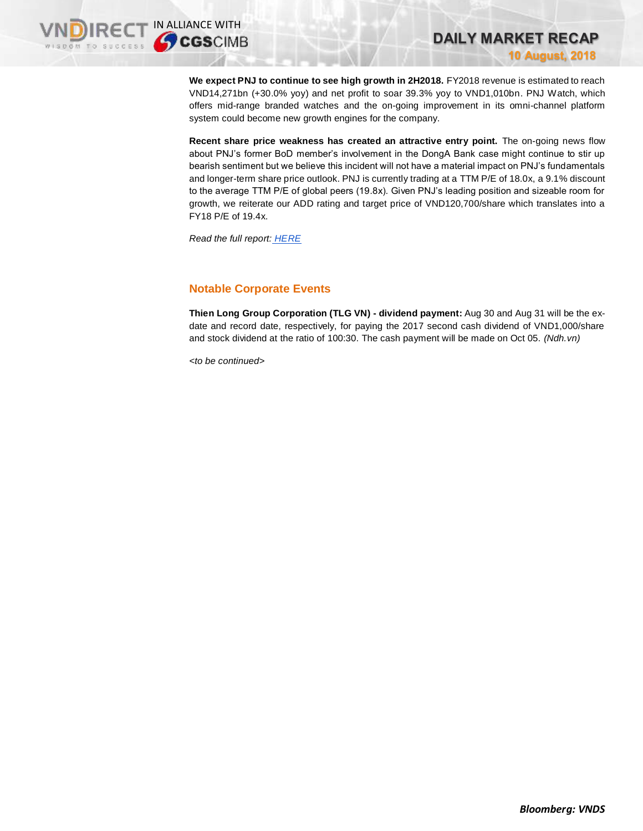**10 August, 2018**

**DAILY MARKET RECAP** 

**We expect PNJ to continue to see high growth in 2H2018.** FY2018 revenue is estimated to reach VND14,271bn (+30.0% yoy) and net profit to soar 39.3% yoy to VND1,010bn. PNJ Watch, which offers mid-range branded watches and the on-going improvement in its omni-channel platform system could become new growth engines for the company.

**Recent share price weakness has created an attractive entry point.** The on-going news flow about PNJ's former BoD member's involvement in the DongA Bank case might continue to stir up bearish sentiment but we believe this incident will not have a material impact on PNJ's fundamentals and longer-term share price outlook. PNJ is currently trading at a TTM P/E of 18.0x, a 9.1% discount to the average TTM P/E of global peers (19.8x). Given PNJ's leading position and sizeable room for growth, we reiterate our ADD rating and target price of VND120,700/share which translates into a FY18 P/E of 19.4x.

*Read the full report: [HERE](https://static-02.vndirect.com.vn/uploads/prod/PNJ_Update_20180810.pdf)*

# **Notable Corporate Events**

**Thien Long Group Corporation (TLG VN) - dividend payment:** Aug 30 and Aug 31 will be the exdate and record date, respectively, for paying the 2017 second cash dividend of VND1,000/share and stock dividend at the ratio of 100:30. The cash payment will be made on Oct 05. *(Ndh.vn)*

*<to be continued>*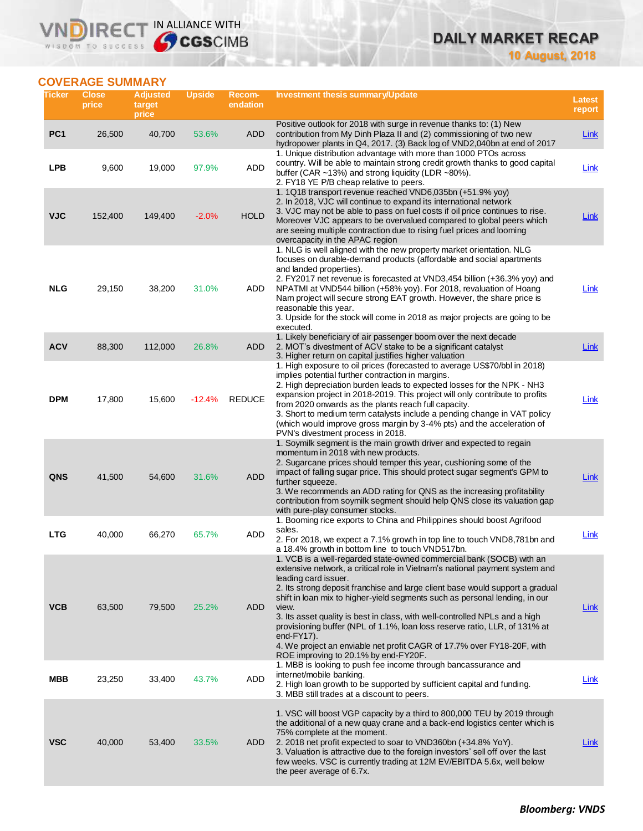# **DAILY MARKET RECAP**

**10 August, 2018**

# **COVERAGE SUMMARY**

**VNDIRECT IN ALLIANCE WITH** 

| Ticker          | <b>Close</b><br>price | <b>Adjusted</b><br>target<br>price | <b>Upside</b> | Recom-<br>endation | <b>Investment thesis summary/Update</b>                                                                                                                                                                                                                                                                                                                                                                                                                                                                                                                                                                                                               | Latest<br>report |
|-----------------|-----------------------|------------------------------------|---------------|--------------------|-------------------------------------------------------------------------------------------------------------------------------------------------------------------------------------------------------------------------------------------------------------------------------------------------------------------------------------------------------------------------------------------------------------------------------------------------------------------------------------------------------------------------------------------------------------------------------------------------------------------------------------------------------|------------------|
| PC <sub>1</sub> | 26,500                | 40,700                             | 53.6%         | ADD                | Positive outlook for 2018 with surge in revenue thanks to: (1) New<br>contribution from My Dinh Plaza II and (2) commissioning of two new<br>hydropower plants in Q4, 2017. (3) Back log of VND2,040bn at end of 2017                                                                                                                                                                                                                                                                                                                                                                                                                                 | <b>Link</b>      |
| <b>LPB</b>      | 9,600                 | 19,000                             | 97.9%         | <b>ADD</b>         | 1. Unique distribution advantage with more than 1000 PTOs across<br>country. Will be able to maintain strong credit growth thanks to good capital<br>buffer (CAR ~13%) and strong liquidity (LDR ~80%).<br>2. FY18 YE P/B cheap relative to peers.                                                                                                                                                                                                                                                                                                                                                                                                    | Link             |
| <b>VJC</b>      | 152,400               | 149,400                            | $-2.0%$       | <b>HOLD</b>        | 1. 1Q18 transport revenue reached VND6,035bn (+51.9% yoy)<br>2. In 2018, VJC will continue to expand its international network<br>3. VJC may not be able to pass on fuel costs if oil price continues to rise.<br>Moreover VJC appears to be overvalued compared to global peers which<br>are seeing multiple contraction due to rising fuel prices and looming<br>overcapacity in the APAC region                                                                                                                                                                                                                                                    | <b>Link</b>      |
| <b>NLG</b>      | 29,150                | 38,200                             | 31.0%         | ADD                | 1. NLG is well aligned with the new property market orientation. NLG<br>focuses on durable-demand products (affordable and social apartments<br>and landed properties).<br>2. FY2017 net revenue is forecasted at VND3,454 billion (+36.3% yoy) and<br>NPATMI at VND544 billion (+58% yoy). For 2018, revaluation of Hoang<br>Nam project will secure strong EAT growth. However, the share price is<br>reasonable this year.<br>3. Upside for the stock will come in 2018 as major projects are going to be<br>executed.                                                                                                                             | <b>Link</b>      |
| <b>ACV</b>      | 88,300                | 112,000                            | 26.8%         | ADD                | 1. Likely beneficiary of air passenger boom over the next decade<br>2. MOT's divestment of ACV stake to be a significant catalyst<br>3. Higher return on capital justifies higher valuation                                                                                                                                                                                                                                                                                                                                                                                                                                                           | <b>Link</b>      |
| <b>DPM</b>      | 17,800                | 15,600                             | $-12.4%$      | <b>REDUCE</b>      | 1. High exposure to oil prices (forecasted to average US\$70/bbl in 2018)<br>implies potential further contraction in margins.<br>2. High depreciation burden leads to expected losses for the NPK - NH3<br>expansion project in 2018-2019. This project will only contribute to profits<br>from 2020 onwards as the plants reach full capacity.<br>3. Short to medium term catalysts include a pending change in VAT policy<br>(which would improve gross margin by 3-4% pts) and the acceleration of<br>PVN's divestment process in 2018.                                                                                                           | Link             |
| <b>QNS</b>      | 41,500                | 54,600                             | 31.6%         | ADD                | 1. Soymilk segment is the main growth driver and expected to regain<br>momentum in 2018 with new products.<br>2. Sugarcane prices should temper this year, cushioning some of the<br>impact of falling sugar price. This should protect sugar segment's GPM to<br>further squeeze.<br>3. We recommends an ADD rating for QNS as the increasing profitability<br>contribution from soymilk segment should help QNS close its valuation gap<br>with pure-play consumer stocks.                                                                                                                                                                          | <b>Link</b>      |
| <b>LTG</b>      | 40,000                | 66,270                             | 65.7%         | <b>ADD</b>         | 1. Booming rice exports to China and Philippines should boost Agrifood<br>sales.<br>2. For 2018, we expect a 7.1% growth in top line to touch VND8,781bn and<br>a 18.4% growth in bottom line to touch VND517bn.                                                                                                                                                                                                                                                                                                                                                                                                                                      | Link             |
| <b>VCB</b>      | 63,500                | 79,500                             | 25.2%         | ADD                | 1. VCB is a well-regarded state-owned commercial bank (SOCB) with an<br>extensive network, a critical role in Vietnam's national payment system and<br>leading card issuer.<br>2. Its strong deposit franchise and large client base would support a gradual<br>shift in loan mix to higher-yield segments such as personal lending, in our<br>view.<br>3. Its asset quality is best in class, with well-controlled NPLs and a high<br>provisioning buffer (NPL of 1.1%, loan loss reserve ratio, LLR, of 131% at<br>end- $FY17$ ).<br>4. We project an enviable net profit CAGR of 17.7% over FY18-20F, with<br>ROE improving to 20.1% by end-FY20F. | Link             |
| MBB             | 23,250                | 33,400                             | 43.7%         | <b>ADD</b>         | 1. MBB is looking to push fee income through bancassurance and<br>internet/mobile banking.<br>2. High loan growth to be supported by sufficient capital and funding.<br>3. MBB still trades at a discount to peers.                                                                                                                                                                                                                                                                                                                                                                                                                                   | <b>Link</b>      |
| <b>VSC</b>      | 40,000                | 53,400                             | 33.5%         | ADD                | 1. VSC will boost VGP capacity by a third to 800,000 TEU by 2019 through<br>the additional of a new quay crane and a back-end logistics center which is<br>75% complete at the moment.<br>2. 2018 net profit expected to soar to VND360bn (+34.8% YoY).<br>3. Valuation is attractive due to the foreign investors' sell off over the last<br>few weeks. VSC is currently trading at 12M EV/EBITDA 5.6x, well below<br>the peer average of 6.7x.                                                                                                                                                                                                      | Link             |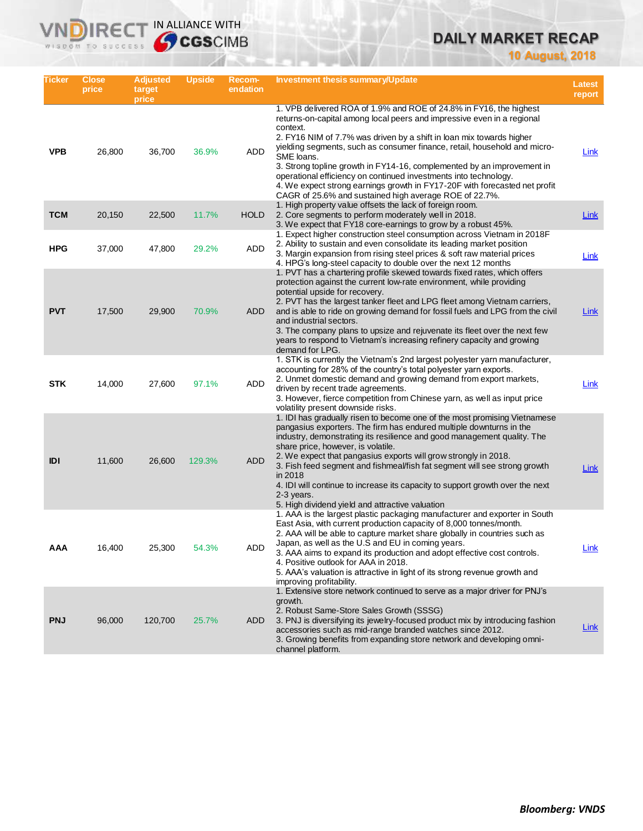# **DAILY MARKET RECAP**

**10 August, 2018**

| Ticker     | <b>Close</b><br>price | <b>Adjusted</b><br>target<br>price | Upside | Recom-<br>endation | Investment thesis summary/Update                                                                                                                                                                                                                                                                                                                                                                                                                                                                                                                                                                                  | Latest<br>report |
|------------|-----------------------|------------------------------------|--------|--------------------|-------------------------------------------------------------------------------------------------------------------------------------------------------------------------------------------------------------------------------------------------------------------------------------------------------------------------------------------------------------------------------------------------------------------------------------------------------------------------------------------------------------------------------------------------------------------------------------------------------------------|------------------|
| <b>VPB</b> | 26,800                | 36,700                             | 36.9%  | ADD                | 1. VPB delivered ROA of 1.9% and ROE of 24.8% in FY16, the highest<br>returns-on-capital among local peers and impressive even in a regional<br>context.<br>2. FY16 NIM of 7.7% was driven by a shift in loan mix towards higher<br>yielding segments, such as consumer finance, retail, household and micro-<br>SME loans.<br>3. Strong topline growth in FY14-16, complemented by an improvement in<br>operational efficiency on continued investments into technology.<br>4. We expect strong earnings growth in FY17-20F with forecasted net profit<br>CAGR of 25.6% and sustained high average ROE of 22.7%. | Link             |
| <b>TCM</b> | 20,150                | 22,500                             | 11.7%  | <b>HOLD</b>        | 1. High property value offsets the lack of foreign room.<br>2. Core segments to perform moderately well in 2018.<br>3. We expect that FY18 core-earnings to grow by a robust 45%.                                                                                                                                                                                                                                                                                                                                                                                                                                 | <b>Link</b>      |
| <b>HPG</b> | 37,000                | 47,800                             | 29.2%  | ADD                | 1. Expect higher construction steel consumption across Vietnam in 2018F<br>2. Ability to sustain and even consolidate its leading market position<br>3. Margin expansion from rising steel prices & soft raw material prices<br>4. HPG's long-steel capacity to double over the next 12 months                                                                                                                                                                                                                                                                                                                    | Link             |
| <b>PVT</b> | 17,500                | 29,900                             | 70.9%  | <b>ADD</b>         | 1. PVT has a chartering profile skewed towards fixed rates, which offers<br>protection against the current low-rate environment, while providing<br>potential upside for recovery.<br>2. PVT has the largest tanker fleet and LPG fleet among Vietnam carriers,<br>and is able to ride on growing demand for fossil fuels and LPG from the civil<br>and industrial sectors.<br>3. The company plans to upsize and rejuvenate its fleet over the next few<br>years to respond to Vietnam's increasing refinery capacity and growing<br>demand for LPG.                                                             | <b>Link</b>      |
| <b>STK</b> | 14,000                | 27,600                             | 97.1%  | ADD                | 1. STK is currently the Vietnam's 2nd largest polyester yarn manufacturer,<br>accounting for 28% of the country's total polyester yarn exports.<br>2. Unmet domestic demand and growing demand from export markets,<br>driven by recent trade agreements.<br>3. However, fierce competition from Chinese yarn, as well as input price<br>volatility present downside risks.                                                                                                                                                                                                                                       | Link             |
| IDI        | 11,600                | 26,600                             | 129.3% | <b>ADD</b>         | 1. IDI has gradually risen to become one of the most promising Vietnamese<br>pangasius exporters. The firm has endured multiple downturns in the<br>industry, demonstrating its resilience and good management quality. The<br>share price, however, is volatile.<br>2. We expect that pangasius exports will grow strongly in 2018.<br>3. Fish feed segment and fishmeal/fish fat segment will see strong growth<br>in 2018<br>4. IDI will continue to increase its capacity to support growth over the next<br>2-3 years.<br>5. High dividend yield and attractive valuation                                    | <b>Link</b>      |
| AAA        | 16,400                | 25,300                             | 54.3%  | ADD                | 1. AAA is the largest plastic packaging manufacturer and exporter in South<br>East Asia, with current production capacity of 8,000 tonnes/month.<br>2. AAA will be able to capture market share globally in countries such as<br>Japan, as well as the U.S and EU in coming years.<br>3. AAA aims to expand its production and adopt effective cost controls.<br>4. Positive outlook for AAA in 2018.<br>5. AAA's valuation is attractive in light of its strong revenue growth and<br>improving profitability.                                                                                                   | Link             |
| <b>PNJ</b> | 96,000                | 120,700                            | 25.7%  | ADD                | 1. Extensive store network continued to serve as a major driver for PNJ's<br>growth.<br>2. Robust Same-Store Sales Growth (SSSG)<br>3. PNJ is diversifying its jewelry-focused product mix by introducing fashion<br>accessories such as mid-range branded watches since 2012.<br>3. Growing benefits from expanding store network and developing omni-<br>channel platform.                                                                                                                                                                                                                                      | <b>Link</b>      |

**VNDIRECT IN ALLIANCE WITH** 

WISDOM TO SUCCESS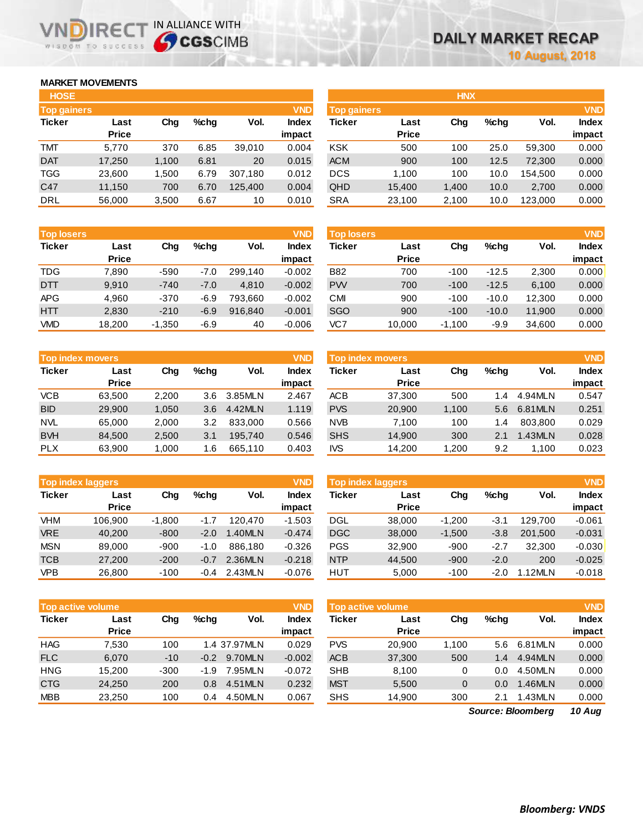# **MARKET MOVEMENTS**

WISDOM TO SUCCESS

ה

IR<sub>E</sub>

| <b>HOSE</b>        |        |       |      |         |              |
|--------------------|--------|-------|------|---------|--------------|
| <b>Top gainers</b> |        |       |      |         | <b>VND</b>   |
| <b>Ticker</b>      | Last   | Cha   | %chq | Vol.    | <b>Index</b> |
|                    | Price  |       |      |         | impact       |
| <b>TMT</b>         | 5,770  | 370   | 6.85 | 39,010  | 0.004        |
| <b>DAT</b>         | 17,250 | 1,100 | 6.81 | 20      | 0.015        |
| <b>TGG</b>         | 23,600 | 1,500 | 6.79 | 307,180 | 0.012        |
| C47                | 11,150 | 700   | 6.70 | 125,400 | 0.004        |
| <b>DRL</b>         | 56,000 | 3,500 | 6.67 | 10      | 0.010        |

IN ALLIANCE WITH

| <b>Top losers</b> |              |          |        |         | <b>VND</b>   |
|-------------------|--------------|----------|--------|---------|--------------|
| <b>Ticker</b>     | Last         | Cha      | %chq   | Vol.    | <b>Index</b> |
|                   | <b>Price</b> |          |        |         | impact       |
| <b>TDG</b>        | 7.890        | $-590$   | $-7.0$ | 299.140 | $-0.002$     |
| <b>DTT</b>        | 9.910        | $-740$   | $-7.0$ | 4.810   | $-0.002$     |
| <b>APG</b>        | 4.960        | $-370$   | $-6.9$ | 793.660 | $-0.002$     |
| <b>HTT</b>        | 2,830        | $-210$   | $-6.9$ | 916,840 | $-0.001$     |
| <b>VMD</b>        | 18,200       | $-1,350$ | $-6.9$ | 40      | $-0.006$     |

|               | <b>Top index movers</b> |       |      |         |              |  |  |  |  |
|---------------|-------------------------|-------|------|---------|--------------|--|--|--|--|
| <b>Ticker</b> | Last                    | Cha   | %chq | Vol.    | <b>Index</b> |  |  |  |  |
|               | <b>Price</b>            |       |      |         | impact       |  |  |  |  |
| <b>VCB</b>    | 63,500                  | 2,200 | 3.6  | 3.85MLN | 2.467        |  |  |  |  |
| <b>BID</b>    | 29,900                  | 1,050 | 3.6  | 4.42MLN | 1.119        |  |  |  |  |
| <b>NVL</b>    | 65,000                  | 2,000 | 3.2  | 833,000 | 0.566        |  |  |  |  |
| <b>BVH</b>    | 84,500                  | 2,500 | 3.1  | 195.740 | 0.546        |  |  |  |  |
| <b>PLX</b>    | 63,900                  | 1,000 | 1.6  | 665,110 | 0.403        |  |  |  |  |

| <b>Top index laggers</b> |              |          |        |         |              |  |  |  |
|--------------------------|--------------|----------|--------|---------|--------------|--|--|--|
| <b>Ticker</b>            | Last         | Cha      | %cha   | Vol.    | <b>Index</b> |  |  |  |
|                          | <b>Price</b> |          |        |         | impact       |  |  |  |
| VHM                      | 106,900      | $-1,800$ | $-1.7$ | 120.470 | $-1.503$     |  |  |  |
| <b>VRE</b>               | 40,200       | $-800$   | $-2.0$ | 1.40MLN | $-0.474$     |  |  |  |
| <b>MSN</b>               | 89,000       | $-900$   | $-1.0$ | 886.180 | $-0.326$     |  |  |  |
| <b>TCB</b>               | 27,200       | $-200$   | $-0.7$ | 2.36MLN | $-0.218$     |  |  |  |
| <b>VPB</b>               | 26,800       | $-100$   | $-0.4$ | 2.43MLN | $-0.076$     |  |  |  |

| <b>Top active volume</b> |              |        |        |              | <b>VND</b>   |
|--------------------------|--------------|--------|--------|--------------|--------------|
| <b>Ticker</b>            | Last         | Cha    | %chq   | Vol.         | <b>Index</b> |
|                          | <b>Price</b> |        |        |              | impact       |
| <b>HAG</b>               | 7,530        | 100    |        | 1.4 37.97MLN | 0.029        |
| <b>FLC</b>               | 6.070        | $-10$  | $-0.2$ | 9.70MLN      | $-0.002$     |
| <b>HNG</b>               | 15,200       | $-300$ | $-1.9$ | 7.95MLN      | $-0.072$     |
| <b>CTG</b>               | 24.250       | 200    | 0.8    | 4.51MLN      | 0.232        |
| <b>MBB</b>               | 23,250       | 100    | 0.4    | 4.50MLN      | 0.067        |

| <b>HOSE</b>        |              |       |         |         |              |                    |              | <b>HNX</b> |         |         |            |
|--------------------|--------------|-------|---------|---------|--------------|--------------------|--------------|------------|---------|---------|------------|
| <b>Top gainers</b> |              |       |         |         | <b>VND</b>   | <b>Top gainers</b> |              |            |         |         | <b>VND</b> |
| Ticker             | Last         | Chg   | $%$ chq | Vol.    | <b>Index</b> | Ticker             | Last         | Chg        | $%$ chg | Vol.    | Index      |
|                    | <b>Price</b> |       |         |         | impact       |                    | <b>Price</b> |            |         |         | impact     |
| TMT                | 5,770        | 370   | 6.85    | 39,010  | 0.004        | <b>KSK</b>         | 500          | 100        | 25.0    | 59.300  | 0.000      |
| <b>DAT</b>         | 17,250       | 1,100 | 6.81    | 20      | 0.015        | <b>ACM</b>         | 900          | 100        | 12.5    | 72,300  | 0.000      |
| TGG                | 23,600       | 1.500 | 6.79    | 307.180 | 0.012        | <b>DCS</b>         | 1.100        | 100        | 10.0    | 154.500 | 0.000      |
| C47                | 11,150       | 700   | 6.70    | 125,400 | 0.004        | QHD                | 15,400       | 1,400      | 10.0    | 2,700   | 0.000      |
| DRL                | 56,000       | 3,500 | 6.67    | 10      | 0.010        | <b>SRA</b>         | 23,100       | 2,100      | 10.0    | 123,000 | 0.000      |
|                    |              |       |         |         |              |                    |              |            |         |         |            |

| <b>Top losers</b> |                      |          |        |         | <b>VND</b>             | <b>Top losers</b> |                      |          |         |        | <b>VND</b>             |
|-------------------|----------------------|----------|--------|---------|------------------------|-------------------|----------------------|----------|---------|--------|------------------------|
| Ticker            | Last<br><b>Price</b> | Chg      | %chq   | Vol.    | <b>Index</b><br>impact | Ticker            | Last<br><b>Price</b> | Chg      | $%$ chq | Vol.   | <b>Index</b><br>impact |
| TDG               | 7.890                | $-590$   | $-7.0$ | 299.140 | $-0.002$               | <b>B82</b>        | 700                  | $-100$   | $-12.5$ | 2,300  | 0.000                  |
| DTT               | 9,910                | $-740$   | $-7.0$ | 4.810   | $-0.002$               | <b>PW</b>         | 700                  | $-100$   | $-12.5$ | 6.100  | 0.000                  |
| APG               | 4,960                | $-370$   | $-6.9$ | 793.660 | $-0.002$               | CМI               | 900                  | $-100$   | $-10.0$ | 12.300 | 0.000                  |
| HTT               | 2,830                | $-210$   | $-6.9$ | 916,840 | $-0.001$               | <b>SGO</b>        | 900                  | $-100$   | $-10.0$ | 11,900 | 0.000                  |
| <b>VMD</b>        | 18,200               | $-1,350$ | $-6.9$ | 40      | $-0.006$               | VC7               | 10,000               | $-1,100$ | $-9.9$  | 34.600 | 0.000                  |

| <b>VND</b><br>Top index movers |              |       |         |         |        | Top index movers |              |       |               |         | <b>VND</b>   |
|--------------------------------|--------------|-------|---------|---------|--------|------------------|--------------|-------|---------------|---------|--------------|
| Ticker                         | Last         | Chg   | $%$ chq | Vol.    | Index  | Ticker           | Last         | Chg   | $%$ chq       | Vol.    | <b>Index</b> |
|                                | <b>Price</b> |       |         |         | impact |                  | <b>Price</b> |       |               |         | impact       |
| VCB                            | 63.500       | 2,200 | 3.6     | 3.85MLN | 2.467  | <b>ACB</b>       | 37,300       | 500   | $\mathcal{A}$ | 4.94MLN | 0.547        |
| <b>BID</b>                     | 29,900       | 1,050 | 3.6     | 4.42MLN | 1.119  | <b>PVS</b>       | 20,900       | 1,100 | 5.6           | 6.81MLN | 0.251        |
| NVL                            | 65,000       | 2.000 | 3.2     | 833,000 | 0.566  | <b>NVB</b>       | 7.100        | 100   | .4            | 803.800 | 0.029        |
| <b>BVH</b>                     | 84.500       | 2,500 | 3.1     | 195.740 | 0.546  | <b>SHS</b>       | 14,900       | 300   | 2.1           | .43MLN  | 0.028        |
| <b>PLX</b>                     | 63.900       | 1,000 | 1.6     | 665.110 | 0.403  | <b>IVS</b>       | 14,200       | 1.200 | 9.2           | 1.100   | 0.023        |
|                                |              |       |         |         |        |                  |              |       |               |         |              |

|            | <b>VND</b><br><b>Top index laggers</b> |          |         |         |                 |            | <b>Top index laggers</b> |          |         |         | <b>VND</b>      |
|------------|----------------------------------------|----------|---------|---------|-----------------|------------|--------------------------|----------|---------|---------|-----------------|
| Ticker     | Last<br><b>Price</b>                   | Chg      | $%$ chq | Vol.    | Index<br>impact | Ticker     | Last<br><b>Price</b>     | Chg      | $%$ chq | Vol.    | Index<br>impact |
| VHM        | 106.900                                | $-1,800$ | $-1.7$  | 120.470 | $-1.503$        | <b>DGL</b> | 38,000                   | $-1.200$ | $-3.1$  | 129.700 | $-0.061$        |
| <b>VRE</b> | 40,200                                 | $-800$   | $-2.0$  | 1.40MLN | $-0.474$        | <b>DGC</b> | 38,000                   | $-1,500$ | $-3.8$  | 201.500 | $-0.031$        |
| MSN        | 89,000                                 | $-900$   | -1.0    | 886.180 | $-0.326$        | <b>PGS</b> | 32,900                   | $-900$   | $-2.7$  | 32.300  | $-0.030$        |
| TCB        | 27,200                                 | $-200$   | $-0.7$  | 2.36MLN | $-0.218$        | <b>NTP</b> | 44,500                   | $-900$   | $-2.0$  | 200     | $-0.025$        |
| VPB        | 26,800                                 | $-100$   | $-0.4$  | 2.43MLN | $-0.076$        | <b>HUT</b> | 5,000                    | $-100$   | $-2.0$  | 1.12MLN | $-0.018$        |

|            | <b>VND</b><br><b>Top active volume</b> |        |         |              |              |            | Top active volume |       |         |         |        |
|------------|----------------------------------------|--------|---------|--------------|--------------|------------|-------------------|-------|---------|---------|--------|
| Ticker     | Last                                   | Chg    | $%$ chq | Vol.         | <b>Index</b> | Ticker     | Last              | Chg   | $%$ chq | Vol.    | Index  |
|            | <b>Price</b>                           |        |         |              | impact       |            | <b>Price</b>      |       |         |         | impact |
| HAG        | 7.530                                  | 100    |         | 1.4 37.97MLN | 0.029        | <b>PVS</b> | 20,900            | 1.100 | 5.6     | 6.81MLN | 0.000  |
| <b>FLC</b> | 6.070                                  | $-10$  | $-0.2$  | 9.70MLN      | $-0.002$     | <b>ACB</b> | 37,300            | 500   | 1.4     | 4.94MLN | 0.000  |
| HNG        | 15.200                                 | $-300$ | $-1.9$  | 7.95MLN      | $-0.072$     | <b>SHB</b> | 8.100             | 0     | 0.0     | 4.50MLN | 0.000  |
| <b>CTG</b> | 24.250                                 | 200    | 0.8     | 4.51MLN      | 0.232        | <b>MST</b> | 5.500             | 0     | 0.0     | .46MLN  | 0.000  |
| <b>MBB</b> | 23,250                                 | 100    | 0.4     | 4.50MLN      | 0.067        | <b>SHS</b> | 14,900            | 300   | 2.1     | .43MLN  | 0.000  |

*10 Aug Source: Bloomberg*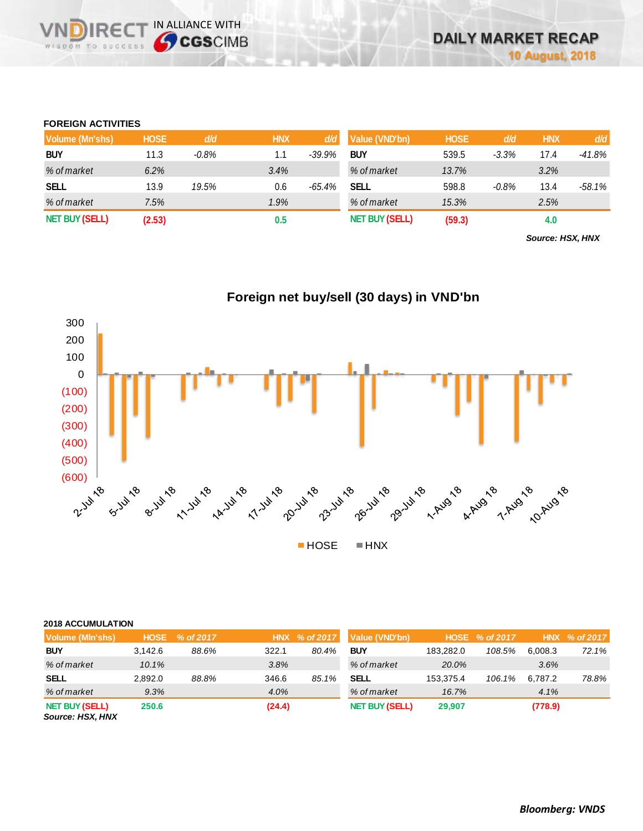## **FOREIGN ACTIVITIES**

WISDOM TO SUCCESS

**VNDIRECT IN ALLIANCE WITH** 

| Volume (Mn'shs)       | <b>HOSE</b> | d/d      | <b>HNX</b> | d/d      | Value (VND'bn)        | <b>HOSE</b> | d/d     | <b>HNX</b> | d/d    |
|-----------------------|-------------|----------|------------|----------|-----------------------|-------------|---------|------------|--------|
| <b>BUY</b>            | 11.3        | $-0.8\%$ | 1.1        | $-39.9%$ | <b>BUY</b>            | 539.5       | $-3.3%$ | 17.4       | -41.8% |
| % of market           | 6.2%        |          | 3.4%       |          | % of market           | 13.7%       |         | 3.2%       |        |
| <b>SELL</b>           | 13.9        | 19.5%    | 0.6        | $-65.4%$ | SELL                  | 598.8       | $-0.8%$ | 13.4       | -58.1% |
| % of market           | 7.5%        |          | 1.9%       |          | % of market           | 15.3%       |         | 2.5%       |        |
| <b>NET BUY (SELL)</b> | (2.53)      |          | 0.5        |          | <b>NET BUY (SELL)</b> | (59.3)      |         | 4.0        |        |

*Source: HSX, HNX*



| <b>2018 ACCUMULATION</b>                  |             |           |        |                  |                       |           |                |         |               |
|-------------------------------------------|-------------|-----------|--------|------------------|-----------------------|-----------|----------------|---------|---------------|
| Volume (Min'shs)                          | <b>HOSE</b> | % of 2017 |        | HNX $\%$ of 2017 | Value (VND'bn)        |           | HOSE % of 2017 |         | HNX % of 2017 |
| <b>BUY</b>                                | 3.142.6     | 88.6%     | 322.1  | 80.4%            | <b>BUY</b>            | 183.282.0 | 108.5%         | 6.008.3 | 72.1%         |
| % of market                               | 10.1%       |           | 3.8%   |                  | % of market           | 20.0%     |                | 3.6%    |               |
| <b>SELL</b>                               | 2.892.0     | 88.8%     | 346.6  | 85.1%            | <b>SELL</b>           | 153.375.4 | 106.1%         | 6.787.2 | 78.8%         |
| % of market                               | 9.3%        |           | 4.0%   |                  | % of market           | 16.7%     |                | 4.1%    |               |
| <b>NET BUY (SELL)</b><br>Source: HSX, HNX | 250.6       |           | (24.4) |                  | <b>NET BUY (SELL)</b> | 29,907    |                | (778.9) |               |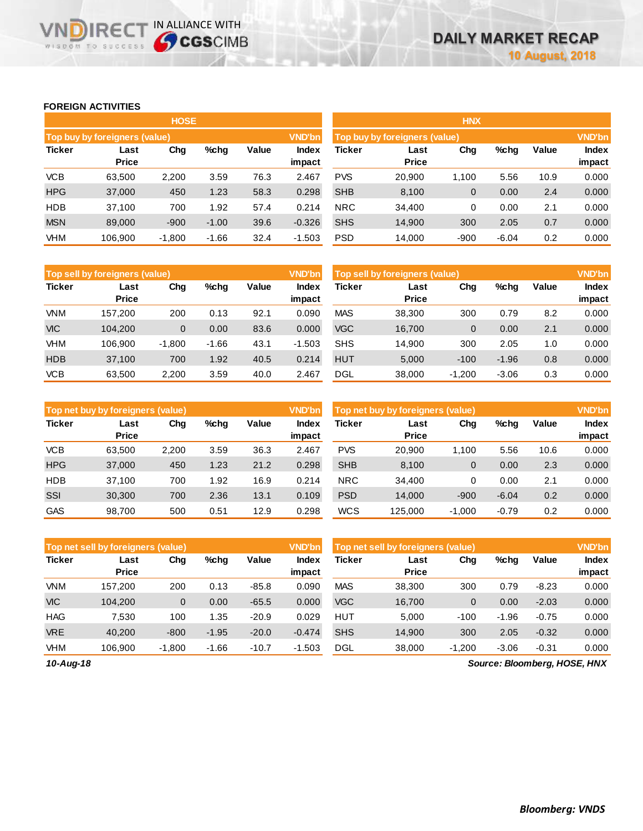## **FOREIGN ACTIVITIES**

WISDOM TO SUCCESS

**VNDIRECT IN ALLIANCE WITH** 

|               |                               | <b>HOSE</b> |         |       |                 | <b>HNX</b>                                     |                      |        |         |       |                        |
|---------------|-------------------------------|-------------|---------|-------|-----------------|------------------------------------------------|----------------------|--------|---------|-------|------------------------|
|               | Top buy by foreigners (value) |             |         |       | <b>VND'bn</b>   | <b>VND'bn</b><br>Top buy by foreigners (value) |                      |        |         |       |                        |
| <b>Ticker</b> | Last<br><b>Price</b>          | Chg         | %chg    | Value | Index<br>impact | Ticker                                         | Last<br><b>Price</b> | Chg    | %chg    | Value | <b>Index</b><br>impact |
| <b>VCB</b>    | 63,500                        | 2,200       | 3.59    | 76.3  | 2.467           | <b>PVS</b>                                     | 20,900               | 1.100  | 5.56    | 10.9  | 0.000                  |
| <b>HPG</b>    | 37,000                        | 450         | 1.23    | 58.3  | 0.298           | <b>SHB</b>                                     | 8,100                | 0      | 0.00    | 2.4   | 0.000                  |
| <b>HDB</b>    | 37,100                        | 700         | 1.92    | 57.4  | 0.214           | <b>NRC</b>                                     | 34,400               | 0      | 0.00    | 2.1   | 0.000                  |
| <b>MSN</b>    | 89,000                        | $-900$      | $-1.00$ | 39.6  | $-0.326$        | <b>SHS</b>                                     | 14,900               | 300    | 2.05    | 0.7   | 0.000                  |
| VHM           | 106,900                       | $-1,800$    | $-1.66$ | 32.4  | $-1.503$        | <b>PSD</b>                                     | 14,000               | $-900$ | $-6.04$ | 0.2   | 0.000                  |

|               | <b>VND'bn</b><br><b>Top sell by foreigners (value)</b> |          |         |       |                 |               | <b>VND'bn</b><br>Top sell by foreigners (value) |          |         |       |                        |
|---------------|--------------------------------------------------------|----------|---------|-------|-----------------|---------------|-------------------------------------------------|----------|---------|-------|------------------------|
| <b>Ticker</b> | Last<br><b>Price</b>                                   | Chg      | $%$ chg | Value | Index<br>impact | <b>Ticker</b> | Last<br><b>Price</b>                            | Chg      | %chg    | Value | <b>Index</b><br>impact |
| <b>VNM</b>    | 157.200                                                | 200      | 0.13    | 92.1  | 0.090           | <b>MAS</b>    | 38,300                                          | 300      | 0.79    | 8.2   | 0.000                  |
| <b>VIC</b>    | 104.200                                                | 0        | 0.00    | 83.6  | 0.000           | <b>VGC</b>    | 16,700                                          | 0        | 0.00    | 2.1   | 0.000                  |
| VHM           | 106.900                                                | $-1,800$ | $-1.66$ | 43.1  | $-1.503$        | <b>SHS</b>    | 14.900                                          | 300      | 2.05    | 1.0   | 0.000                  |
| <b>HDB</b>    | 37,100                                                 | 700      | 1.92    | 40.5  | 0.214           | <b>HUT</b>    | 5,000                                           | $-100$   | $-1.96$ | 0.8   | 0.000                  |
| <b>VCB</b>    | 63.500                                                 | 2,200    | 3.59    | 40.0  | 2.467           | DGL           | 38,000                                          | $-1.200$ | $-3.06$ | 0.3   | 0.000                  |

|               | <b>VND'bn</b><br>Top net buy by foreigners (value) |       |      |       |                 |               | <b>VND'bn</b><br>Top net buy by foreigners (value) |          |         |              |                        |  |
|---------------|----------------------------------------------------|-------|------|-------|-----------------|---------------|----------------------------------------------------|----------|---------|--------------|------------------------|--|
| <b>Ticker</b> | Last<br><b>Price</b>                               | Chg   | %chg | Value | Index<br>impact | <b>Ticker</b> | Last<br><b>Price</b>                               | Chg      | %chg    | <b>Value</b> | <b>Index</b><br>impact |  |
| <b>VCB</b>    | 63.500                                             | 2,200 | 3.59 | 36.3  | 2.467           | <b>PVS</b>    | 20,900                                             | 1.100    | 5.56    | 10.6         | 0.000                  |  |
| <b>HPG</b>    | 37,000                                             | 450   | 1.23 | 21.2  | 0.298           | <b>SHB</b>    | 8,100                                              | 0        | 0.00    | 2.3          | 0.000                  |  |
| <b>HDB</b>    | 37.100                                             | 700   | 1.92 | 16.9  | 0.214           | <b>NRC</b>    | 34,400                                             | 0        | 0.00    | 2.1          | 0.000                  |  |
| SSI           | 30,300                                             | 700   | 2.36 | 13.1  | 0.109           | <b>PSD</b>    | 14.000                                             | $-900$   | $-6.04$ | 0.2          | 0.000                  |  |
| <b>GAS</b>    | 98.700                                             | 500   | 0.51 | 12.9  | 0.298           | <b>WCS</b>    | 125.000                                            | $-1.000$ | $-0.79$ | 0.2          | 0.000                  |  |

|               | <b>VND'bn</b><br>Top net sell by foreigners (value) |             |         |         |                 | Top net sell by foreigners (value) |                      |          |         |         | <b>VND'bn</b>   |
|---------------|-----------------------------------------------------|-------------|---------|---------|-----------------|------------------------------------|----------------------|----------|---------|---------|-----------------|
| <b>Ticker</b> | Last<br><b>Price</b>                                | Chg         | %chg    | Value   | Index<br>impact | <b>Ticker</b>                      | Last<br><b>Price</b> | Chg      | %chg    | Value   | Index<br>impact |
| <b>VNM</b>    | 157.200                                             | 200         | 0.13    | $-85.8$ | 0.090           | <b>MAS</b>                         | 38.300               | 300      | 0.79    | $-8.23$ | 0.000           |
| <b>VIC</b>    | 104.200                                             | $\mathbf 0$ | 0.00    | $-65.5$ | 0.000           | <b>VGC</b>                         | 16.700               | 0        | 0.00    | $-2.03$ | 0.000           |
| <b>HAG</b>    | 7.530                                               | 100         | 1.35    | $-20.9$ | 0.029           | <b>HUT</b>                         | 5.000                | $-100$   | $-1.96$ | $-0.75$ | 0.000           |
| <b>VRE</b>    | 40.200                                              | $-800$      | $-1.95$ | $-20.0$ | $-0.474$        | <b>SHS</b>                         | 14.900               | 300      | 2.05    | $-0.32$ | 0.000           |
| VHM           | 106.900                                             | $-1.800$    | $-1.66$ | $-10.7$ | $-1.503$        | <b>DGL</b>                         | 38,000               | $-1,200$ | $-3.06$ | $-0.31$ | 0.000           |

*10-Aug-18*

*Source: Bloomberg, HOSE, HNX*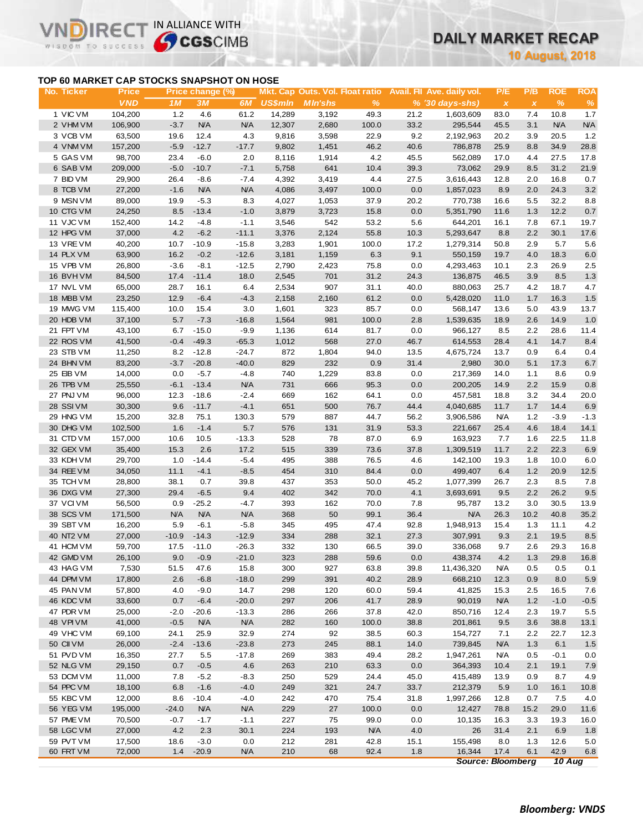# **DAILY MARKET RECAP**

**10 August, 2018**

# **TOP 60 MARKET CAP STOCKS SNAPSHOT ON HOSE**

IR<sub>E</sub>

WISDOM TO SUCCESS

VI

IN ALLIANCE WITH

| No. Ticker | <b>Price</b> |         | Price change (%) |            |                |                 |            |         | Mkt. Cap Outs. Vol. Float ratio Avail. Fil Ave. daily vol. | P/E          | P/B          | <b>ROE</b> | <b>ROA</b> |
|------------|--------------|---------|------------------|------------|----------------|-----------------|------------|---------|------------------------------------------------------------|--------------|--------------|------------|------------|
|            | <b>VND</b>   | 1 M     | ЗМ               | 6 <i>M</i> | <b>US\$mln</b> | <b>M</b> In'shs | $\%$       |         | % (30 days-shs)                                            | $\pmb{\chi}$ | $\pmb{\chi}$ | $\%$       | $\%$       |
| 1 VIC VM   | 104,200      | 1.2     | 4.6              | 61.2       | 14,289         | 3,192           | 49.3       | 21.2    | 1,603,609                                                  | 83.0         | 7.4          | 10.8       | 1.7        |
| 2 VHM VM   | 106,900      | $-3.7$  | <b>N/A</b>       | <b>N/A</b> | 12,307         | 2,680           | 100.0      | 33.2    | 295,544                                                    | 45.5         | 3.1          | <b>N/A</b> | <b>N/A</b> |
| 3 VCB VM   | 63,500       | 19.6    | 12.4             | 4.3        | 9,816          | 3,598           | 22.9       | 9.2     | 2,192,963                                                  | 20.2         | 3.9          | 20.5       | 1.2        |
| 4 VNM VM   | 157,200      | $-5.9$  | $-12.7$          | $-17.7$    | 9,802          | 1,451           | 46.2       | 40.6    | 786,878                                                    | 25.9         | 8.8          | 34.9       | 28.8       |
| 5 GAS VM   | 98,700       | 23.4    | $-6.0$           | 2.0        | 8,116          | 1,914           | 4.2        | 45.5    | 562,089                                                    | 17.0         | 4.4          | 27.5       | 17.8       |
| 6 SAB VM   | 209,000      | $-5.0$  | $-10.7$          | $-7.1$     | 5,758          | 641             | 10.4       | 39.3    | 73,062                                                     | 29.9         | 8.5          | 31.2       | 21.9       |
| 7 BID VM   | 29,900       | 26.4    | $-8.6$           | $-7.4$     | 4,392          | 3,419           | 4.4        | 27.5    | 3,616,443                                                  | 12.8         | 2.0          | 16.8       | 0.7        |
| 8 TCB VM   | 27,200       | $-1.6$  | <b>N/A</b>       | <b>N/A</b> | 4,086          | 3,497           | 100.0      | 0.0     | 1,857,023                                                  | 8.9          | 2.0          | 24.3       | 3.2        |
| 9 MSN VM   | 89,000       | 19.9    | $-5.3$           | 8.3        | 4,027          | 1,053           | 37.9       | 20.2    | 770,738                                                    | 16.6         | 5.5          | 32.2       | 8.8        |
| 10 CTG VM  | 24,250       | 8.5     | $-13.4$          | $-1.0$     | 3,879          | 3,723           | 15.8       | 0.0     | 5,351,790                                                  | 11.6         | 1.3          | 12.2       | $0.7\,$    |
| 11 VJC VM  | 152,400      | 14.2    | $-4.8$           | $-1.1$     | 3,546          | 542             | 53.2       | 5.6     | 644,201                                                    | 16.1         | 7.8          | 67.1       | 19.7       |
| 12 HPG VM  | 37,000       | 4.2     | $-6.2$           | $-11.1$    | 3,376          | 2,124           | 55.8       | 10.3    | 5,293,647                                                  | 8.8          | 2.2          | 30.1       | 17.6       |
| 13 VRE VM  | 40,200       | 10.7    | $-10.9$          | $-15.8$    | 3,283          | 1,901           | 100.0      | 17.2    | 1,279,314                                                  | 50.8         | 2.9          | 5.7        | 5.6        |
| 14 PLX VM  | 63,900       | 16.2    | $-0.2$           | $-12.6$    | 3,181          | 1,159           | 6.3        | 9.1     | 550,159                                                    | 19.7         | 4.0          | 18.3       | 6.0        |
|            |              |         |                  |            |                |                 |            |         |                                                            |              |              |            |            |
| 15 VPB VM  | 26,800       | $-3.6$  | $-8.1$           | $-12.5$    | 2,790          | 2,423           | 75.8       | 0.0     | 4,293,463                                                  | 10.1         | 2.3          | 26.9       | 2.5        |
| 16 BVHVM   | 84,500       | 17.4    | $-11.4$          | 18.0       | 2,545          | 701             | 31.2       | 24.3    | 136,875                                                    | 46.5         | 3.9          | 8.5        | 1.3        |
| 17 NVL VM  | 65,000       | 28.7    | 16.1             | 6.4        | 2,534          | 907             | 31.1       | 40.0    | 880,063                                                    | 25.7         | 4.2          | 18.7       | 4.7        |
| 18 MBB VM  | 23,250       | 12.9    | $-6.4$           | $-4.3$     | 2,158          | 2,160           | 61.2       | 0.0     | 5,428,020                                                  | 11.0         | 1.7          | 16.3       | $1.5$      |
| 19 MWG VM  | 115,400      | 10.0    | 15.4             | 3.0        | 1,601          | 323             | 85.7       | 0.0     | 568,147                                                    | 13.6         | 5.0          | 43.9       | 13.7       |
| 20 HDB VM  | 37,100       | 5.7     | $-7.3$           | $-16.8$    | 1,564          | 981             | 100.0      | 2.8     | 1,539,635                                                  | 18.9         | 2.6          | 14.9       | 1.0        |
| 21 FPT VM  | 43,100       | 6.7     | $-15.0$          | $-9.9$     | 1,136          | 614             | 81.7       | 0.0     | 966,127                                                    | 8.5          | 2.2          | 28.6       | 11.4       |
| 22 ROS VM  | 41,500       | $-0.4$  | $-49.3$          | $-65.3$    | 1,012          | 568             | 27.0       | 46.7    | 614,553                                                    | 28.4         | 4.1          | 14.7       | 8.4        |
| 23 STB VM  | 11,250       | 8.2     | $-12.8$          | $-24.7$    | 872            | 1,804           | 94.0       | 13.5    | 4,675,724                                                  | 13.7         | 0.9          | 6.4        | 0.4        |
| 24 BHN VM  | 83,200       | $-3.7$  | $-20.8$          | $-40.0$    | 829            | 232             | 0.9        | 31.4    | 2,980                                                      | 30.0         | 5.1          | 17.3       | $6.7\,$    |
| 25 EIB VM  | 14,000       | 0.0     | $-5.7$           | $-4.8$     | 740            | 1,229           | 83.8       | 0.0     | 217,369                                                    | 14.0         | 1.1          | 8.6        | 0.9        |
| 26 TPB VM  | 25,550       | $-6.1$  | $-13.4$          | <b>N/A</b> | 731            | 666             | 95.3       | 0.0     | 200,205                                                    | 14.9         | 2.2          | 15.9       | $0.8\,$    |
| 27 PNJ VM  | 96,000       | 12.3    | $-18.6$          | $-2.4$     | 669            | 162             | 64.1       | 0.0     | 457,581                                                    | 18.8         | 3.2          | 34.4       | 20.0       |
| 28 SSIVM   | 30,300       | 9.6     | $-11.7$          | $-4.1$     | 651            | 500             | 76.7       | 44.4    | 4,040,685                                                  | 11.7         | 1.7          | 14.4       | 6.9        |
| 29 HNG VM  | 15,200       | 32.8    | 75.1             | 130.3      | 579            | 887             | 44.7       | 56.2    | 3,906,586                                                  | <b>N/A</b>   | 1.2          | $-3.9$     | $-1.3$     |
| 30 DHG VM  | 102,500      | 1.6     | $-1.4$           | 5.7        | 576            | 131             | 31.9       | 53.3    | 221,667                                                    | 25.4         | 4.6          | 18.4       | 14.1       |
| 31 CTD VM  | 157,000      | 10.6    | 10.5             | $-13.3$    | 528            | 78              | 87.0       | 6.9     | 163,923                                                    | 7.7          | 1.6          | 22.5       | 11.8       |
| 32 GEX VM  | 35,400       | 15.3    | 2.6              | 17.2       | 515            | 339             | 73.6       | 37.8    | 1,309,519                                                  | 11.7         | 2.2          | 22.3       | 6.9        |
| 33 KDH VM  | 29,700       | 1.0     | $-14.4$          | $-5.4$     | 495            | 388             | 76.5       | 4.6     | 142,100                                                    | 19.3         | 1.8          | 10.0       | 6.0        |
| 34 REE VM  | 34,050       | 11.1    | $-4.1$           | $-8.5$     | 454            | 310             | 84.4       | 0.0     | 499,407                                                    | 6.4          | 1.2          | 20.9       | 12.5       |
| 35 TCH VM  | 28,800       | 38.1    | 0.7              | 39.8       | 437            | 353             | 50.0       | 45.2    | 1,077,399                                                  | 26.7         | 2.3          | 8.5        | 7.8        |
| 36 DXG VM  | 27,300       | 29.4    | $-6.5$           | 9.4        | 402            | 342             | 70.0       | 4.1     | 3,693,691                                                  | 9.5          | 2.2          | 26.2       | 9.5        |
| 37 VCI VM  | 56,500       | 0.9     | $-25.2$          | $-4.7$     | 393            | 162             | 70.0       | 7.8     | 95,787                                                     | 13.2         | 3.0          | 30.5       | 13.9       |
| 38 SCS VM  | 171,500      | N/A     | <b>N/A</b>       | N/A        | 368            | 50              | 99.1       | 36.4    | <b>N/A</b>                                                 | 26.3         | 10.2         | 40.8       | 35.2       |
| 39 SBT VM  | 16,200       | 5.9     | $-6.1$           | $-5.8$     | 345            | 495             | 47.4       | 92.8    | 1,948,913                                                  | 15.4         | 1.3          | 11.1       | 4.2        |
| 40 NT2 VM  | 27,000       | $-10.9$ | $-14.3$          | $-12.9$    | 334            | 288             | 32.1       | 27.3    | 307,991                                                    | 9.3          | 2.1          | 19.5       | 8.5        |
| 41 HCM VM  | 59.700       | 17.5    | $-11.0$          | $-26.3$    | 332            | 130             | 66.5       | 39.0    | 336,068                                                    | 9.7          | 2.6          | 29.3       | 16.8       |
| 42 GMD VM  | 26,100       | 9.0     | $-0.9$           | $-21.0$    | 323            | 288             | 59.6       | $0.0\,$ | 438,374                                                    | $4.2\,$      | $1.3$        | 29.8       | 16.8       |
| 43 HAG VM  | 7,530        | 51.5    | 47.6             | 15.8       | 300            | 927             | 63.8       | 39.8    | 11,436,320                                                 | <b>N/A</b>   | 0.5          | 0.5        | 0.1        |
| 44 DPM VM  | 17,800       | 2.6     | $-6.8$           | $-18.0$    | 299            | 391             | 40.2       | 28.9    | 668,210                                                    | 12.3         | 0.9          | 8.0        | 5.9        |
| 45 PAN VM  | 57,800       | 4.0     | $-9.0$           | 14.7       | 298            | 120             | 60.0       | 59.4    | 41,825                                                     | 15.3         | 2.5          | 16.5       | 7.6        |
| 46 KDC VM  | 33,600       | 0.7     | $-6.4$           | $-20.0$    | 297            | 206             | 41.7       | 28.9    | 90,019                                                     | <b>N/A</b>   | 1.2          | $-1.0$     | $-0.5$     |
| 47 PDR VM  | 25,000       | $-2.0$  | $-20.6$          | $-13.3$    | 286            | 266             | 37.8       | 42.0    | 850,716                                                    | 12.4         | 2.3          | 19.7       | 5.5        |
| 48 VPI VM  | 41,000       | $-0.5$  | <b>N/A</b>       | N/A        | 282            | 160             | 100.0      | 38.8    | 201,861                                                    | 9.5          | 3.6          | 38.8       | 13.1       |
| 49 VHC VM  | 69,100       | 24.1    | 25.9             | 32.9       | 274            | 92              | 38.5       | 60.3    | 154,727                                                    | 7.1          | 2.2          | 22.7       | 12.3       |
| 50 CII VM  | 26,000       | $-2.4$  | $-13.6$          | $-23.8$    | 273            | 245             | 88.1       | 14.0    | 739,845                                                    | <b>N/A</b>   | 1.3          | 6.1        | 1.5        |
| 51 PVD VM  | 16,350       | 27.7    | 5.5              | $-17.8$    | 269            | 383             | 49.4       | 28.2    | 1,947,261                                                  | <b>N/A</b>   | 0.5          | $-0.1$     | 0.0        |
| 52 NLG VM  | 29,150       | 0.7     | $-0.5$           | 4.6        | 263            | 210             | 63.3       | 0.0     | 364,393                                                    | 10.4         | 2.1          | 19.1       | 7.9        |
| 53 DCM VM  | 11,000       | 7.8     | $-5.2$           | $-8.3$     | 250            | 529             | 24.4       | 45.0    | 415,489                                                    | 13.9         | 0.9          | 8.7        | 4.9        |
| 54 PPC VM  | 18,100       | 6.8     | $-1.6$           | $-4.0$     | 249            | 321             | 24.7       | 33.7    | 212,379                                                    | 5.9          | 1.0          | 16.1       | 10.8       |
| 55 KBC VM  | 12,000       | 8.6     | $-10.4$          | -4.0       | 242            | 470             | 75.4       | 31.8    | 1,997,266                                                  | 12.8         | 0.7          | 7.5        | 4.0        |
| 56 YEG VM  | 195,000      | $-24.0$ | <b>N/A</b>       | <b>N/A</b> | 229            | 27              | 100.0      | 0.0     | 12,427                                                     | 78.8         | 15.2         | 29.0       | 11.6       |
| 57 PME VM  | 70,500       | $-0.7$  | $-1.7$           | $-1.1$     | 227            | 75              | 99.0       | 0.0     | 10,135                                                     | 16.3         | 3.3          | 19.3       | 16.0       |
| 58 LGC VM  | 27,000       | 4.2     | 2.3              | 30.1       | 224            | 193             | <b>N/A</b> | 4.0     | 26                                                         | 31.4         | 2.1          | 6.9        | 1.8        |
| 59 PVT VM  | 17,500       | 18.6    | $-3.0$           | 0.0        | 212            | 281             | 42.8       | 15.1    | 155,498                                                    | 8.0          | 1.3          | 12.6       | 5.0        |
| 60 FRT VM  | 72,000       | 1.4     | $-20.9$          | <b>N/A</b> | 210            | 68              | 92.4       | 1.8     | 16,344                                                     | 17.4         | 6.1          | 42.9       | 6.8        |
|            |              |         |                  |            |                |                 |            |         | <b>Source: Bloomberg</b>                                   |              |              | 10 Aug     |            |